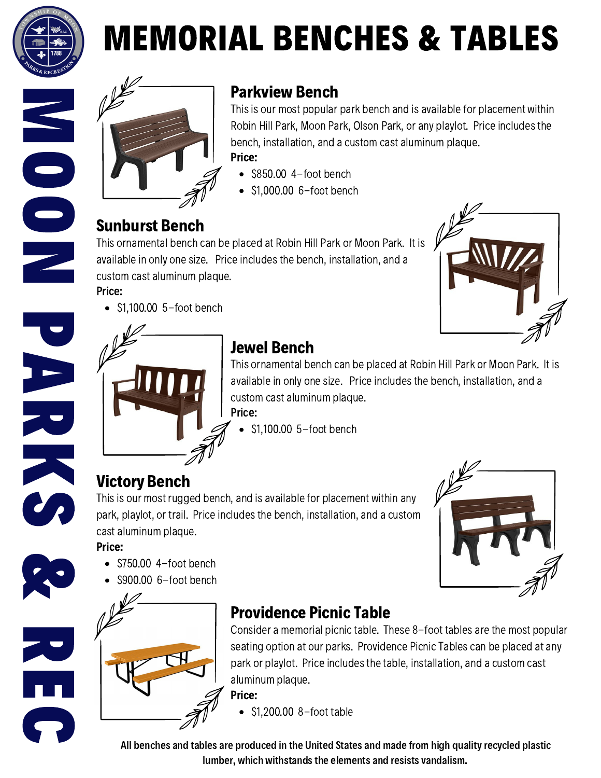

M

O

O

N

**P** 

A

R

K

**CA** 

&

R

E

C

# MEMORIAL BENCHES & TABLES



#### Parkview Bench

This is our most popular park bench and is available for placement within Robin Hill Park, Moon Park, Olson Park, or any playlot. Price includesthe bench, installation, and a custom cast aluminum plaque. Price:

- $\bullet$  \$850.00 4-foot bench
- $\bullet$  \$1,000.00 6-foot bench

#### Sunburst Bench

Price: This ornamental bench can be placed at Robin Hill Park or Moon Park. It is available in only one size. Price includesthe bench, installation, and a custom cast aluminum plaque.



 $\bullet$  \$1,100.00 5-foot bench



### Jewel Bench

Price: This ornamental bench can be placed at Robin Hill Park or Moon Park. It is available in only one size. Price includesthe bench, installation, and a custom cast aluminum plaque.

\$1,100.00 5-foot bench

## Victory Bench

This is our most rugged bench, and is available for placement within any park, playlot, or trail. Price includes the bench, installation, and a custom cast aluminum plaque.

#### Price:

- $\bullet$  \$750.00 4-foot bench
- \$900.00 6-foot bench



#### Providence Picnic Table

Consider a memorial picnic table. These 8-foot tables are the most popular seating option at our parks. Providence Picnic Tables can be placed at any park or playlot. Price includes the table, installation, and a custom cast aluminum plaque.

Price:

 $\bullet$  \$1,200.00 8-foot table

All benches and tables are produced in the United States and made from high quality recycled plastic lumber, which withstands the elements and resists vandalism.